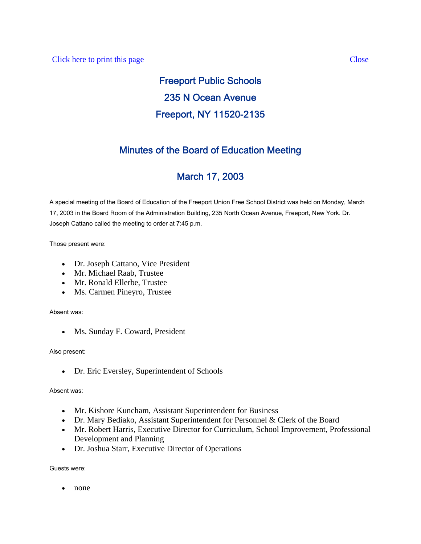### Click here to print this page Close

# Freeport Public Schools 235 N Ocean Avenue Freeport, NY 11520-2135

# Minutes of the Board of Education Meeting

# March 17, 2003

A special meeting of the Board of Education of the Freeport Union Free School District was held on Monday, March 17, 2003 in the Board Room of the Administration Building, 235 North Ocean Avenue, Freeport, New York. Dr. Joseph Cattano called the meeting to order at 7:45 p.m.

Those present were:

- Dr. Joseph Cattano, Vice President
- Mr. Michael Raab, Trustee
- Mr. Ronald Ellerbe, Trustee
- Ms. Carmen Pineyro, Trustee

Absent was:

• Ms. Sunday F. Coward, President

#### Also present:

• Dr. Eric Eversley, Superintendent of Schools

#### Absent was:

- Mr. Kishore Kuncham, Assistant Superintendent for Business
- Dr. Mary Bediako, Assistant Superintendent for Personnel & Clerk of the Board
- Mr. Robert Harris, Executive Director for Curriculum, School Improvement, Professional Development and Planning
- Dr. Joshua Starr, Executive Director of Operations

Guests were:

• none